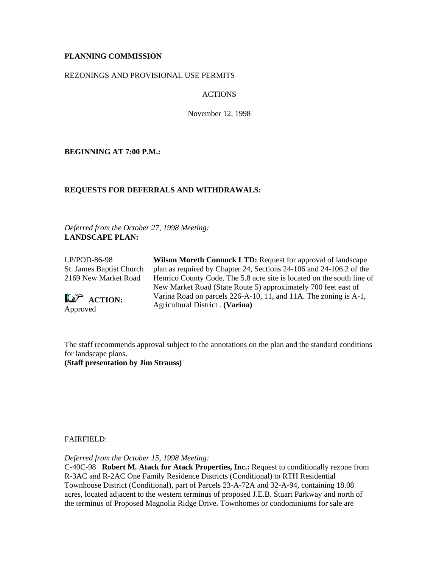# **PLANNING COMMISSION**

### REZONINGS AND PROVISIONAL USE PERMITS

# ACTIONS

November 12, 1998

**BEGINNING AT 7:00 P.M.:**

## **REQUESTS FOR DEFERRALS AND WITHDRAWALS:**

*Deferred from the October 27, 1998 Meeting:* **LANDSCAPE PLAN:**

LP/POD-86-98 St. James Baptist Church 2169 New Market Road

**Le<sup>p</sup>** ACTION: Approved

**Wilson Moreth Connock LTD:** Request for approval of landscape plan as required by Chapter 24, Sections 24-106 and 24-106.2 of the Henrico County Code. The 5.8 acre site is located on the south line of New Market Road (State Route 5) approximately 700 feet east of Varina Road on parcels 226-A-10, 11, and 11A. The zoning is A-1, Agricultural District . **(Varina)**

The staff recommends approval subject to the annotations on the plan and the standard conditions for landscape plans. **(Staff presentation by Jim Strauss)**

## FAIRFIELD:

*Deferred from the October 15, 1998 Meeting:*

C-40C-98 **Robert M. Atack for Atack Properties, Inc.:** Request to conditionally rezone from R-3AC and R-2AC One Family Residence Districts (Conditional) to RTH Residential Townhouse District (Conditional), part of Parcels 23-A-72A and 32-A-94, containing 18.08 acres, located adjacent to the western terminus of proposed J.E.B. Stuart Parkway and north of the terminus of Proposed Magnolia Ridge Drive. Townhomes or condominiums for sale are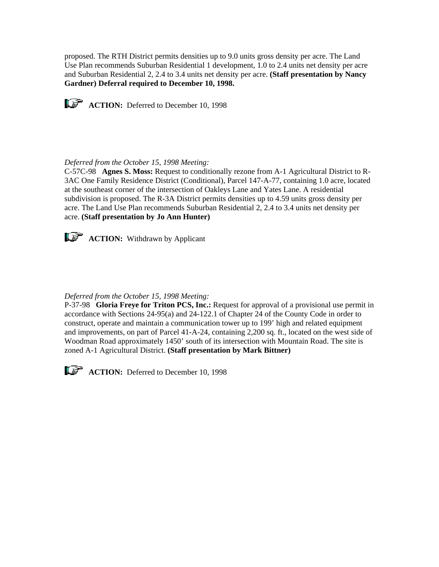proposed. The RTH District permits densities up to 9.0 units gross density per acre. The Land Use Plan recommends Suburban Residential 1 development, 1.0 to 2.4 units net density per acre and Suburban Residential 2, 2.4 to 3.4 units net density per acre. **(Staff presentation by Nancy Gardner) Deferral required to December 10, 1998.**

**ACTION:** Deferred to December 10, 1998

# *Deferred from the October 15, 1998 Meeting:*

C-57C-98 **Agnes S. Moss:** Request to conditionally rezone from A-1 Agricultural District to R-3AC One Family Residence District (Conditional), Parcel 147-A-77, containing 1.0 acre, located at the southeast corner of the intersection of Oakleys Lane and Yates Lane. A residential subdivision is proposed. The R-3A District permits densities up to 4.59 units gross density per acre. The Land Use Plan recommends Suburban Residential 2, 2.4 to 3.4 units net density per acre. **(Staff presentation by Jo Ann Hunter)**



**ACTION:** Withdrawn by Applicant

## *Deferred from the October 15, 1998 Meeting:*

P-37-98 **Gloria Freye for Triton PCS, Inc.:** Request for approval of a provisional use permit in accordance with Sections 24-95(a) and 24-122.1 of Chapter 24 of the County Code in order to construct, operate and maintain a communication tower up to 199' high and related equipment and improvements, on part of Parcel 41-A-24, containing 2,200 sq. ft., located on the west side of Woodman Road approximately 1450' south of its intersection with Mountain Road. The site is zoned A-1 Agricultural District. **(Staff presentation by Mark Bittner)**



**ACTION:** Deferred to December 10, 1998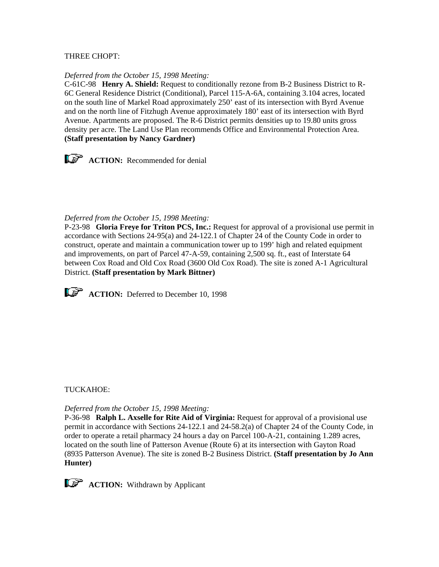### THREE CHOPT:

#### *Deferred from the October 15, 1998 Meeting:*

C-61C-98 **Henry A. Shield:** Request to conditionally rezone from B-2 Business District to R-6C General Residence District (Conditional), Parcel 115-A-6A, containing 3.104 acres, located on the south line of Markel Road approximately 250' east of its intersection with Byrd Avenue and on the north line of Fitzhugh Avenue approximately 180' east of its intersection with Byrd Avenue. Apartments are proposed. The R-6 District permits densities up to 19.80 units gross density per acre. The Land Use Plan recommends Office and Environmental Protection Area. **(Staff presentation by Nancy Gardner)**



### *Deferred from the October 15, 1998 Meeting:*

P-23-98 **Gloria Freye for Triton PCS, Inc.:** Request for approval of a provisional use permit in accordance with Sections 24-95(a) and 24-122.1 of Chapter 24 of the County Code in order to construct, operate and maintain a communication tower up to 199' high and related equipment and improvements, on part of Parcel 47-A-59, containing 2,500 sq. ft., east of Interstate 64 between Cox Road and Old Cox Road (3600 Old Cox Road). The site is zoned A-1 Agricultural District. **(Staff presentation by Mark Bittner)**



**ACTION:** Deferred to December 10, 1998

#### TUCKAHOE:

#### *Deferred from the October 15, 1998 Meeting:*

P-36-98 **Ralph L. Axselle for Rite Aid of Virginia:** Request for approval of a provisional use permit in accordance with Sections 24-122.1 and 24-58.2(a) of Chapter 24 of the County Code, in order to operate a retail pharmacy 24 hours a day on Parcel 100-A-21, containing 1.289 acres, located on the south line of Patterson Avenue (Route 6) at its intersection with Gayton Road (8935 Patterson Avenue). The site is zoned B-2 Business District. **(Staff presentation by Jo Ann Hunter)** 

**ACTION:** Withdrawn by Applicant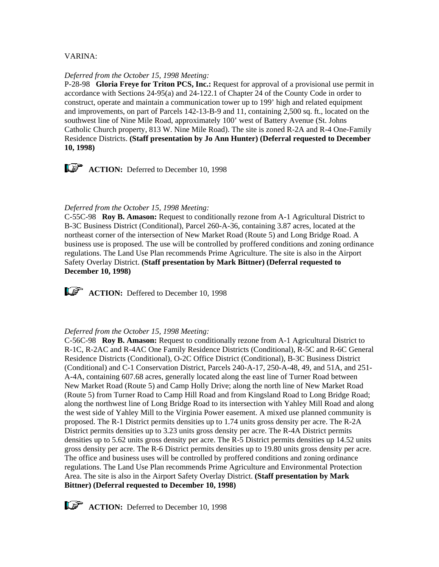## VARINA:

#### *Deferred from the October 15, 1998 Meeting:*

P-28-98 **Gloria Freye for Triton PCS, Inc.:** Request for approval of a provisional use permit in accordance with Sections 24-95(a) and 24-122.1 of Chapter 24 of the County Code in order to construct, operate and maintain a communication tower up to 199' high and related equipment and improvements, on part of Parcels 142-13-B-9 and 11, containing 2,500 sq. ft., located on the southwest line of Nine Mile Road, approximately 100' west of Battery Avenue (St. Johns Catholic Church property, 813 W. Nine Mile Road). The site is zoned R-2A and R-4 One-Family Residence Districts. **(Staff presentation by Jo Ann Hunter) (Deferral requested to December 10, 1998)**

**ACTION:** Deferred to December 10, 1998

#### *Deferred from the October 15, 1998 Meeting:*

C-55C-98 **Roy B. Amason:** Request to conditionally rezone from A-1 Agricultural District to B-3C Business District (Conditional), Parcel 260-A-36, containing 3.87 acres, located at the northeast corner of the intersection of New Market Road (Route 5) and Long Bridge Road. A business use is proposed. The use will be controlled by proffered conditions and zoning ordinance regulations. The Land Use Plan recommends Prime Agriculture. The site is also in the Airport Safety Overlay District. **(Staff presentation by Mark Bittner) (Deferral requested to December 10, 1998)**

**ACTION:** Deffered to December 10, 1998

### *Deferred from the October 15, 1998 Meeting:*

C-56C-98 **Roy B. Amason:** Request to conditionally rezone from A-1 Agricultural District to R-1C, R-2AC and R-4AC One Family Residence Districts (Conditional), R-5C and R-6C General Residence Districts (Conditional), O-2C Office District (Conditional), B-3C Business District (Conditional) and C-1 Conservation District, Parcels 240-A-17, 250-A-48, 49, and 51A, and 251- A-4A, containing 607.68 acres, generally located along the east line of Turner Road between New Market Road (Route 5) and Camp Holly Drive; along the north line of New Market Road (Route 5) from Turner Road to Camp Hill Road and from Kingsland Road to Long Bridge Road; along the northwest line of Long Bridge Road to its intersection with Yahley Mill Road and along the west side of Yahley Mill to the Virginia Power easement. A mixed use planned community is proposed. The R-1 District permits densities up to 1.74 units gross density per acre. The R-2A District permits densities up to 3.23 units gross density per acre. The R-4A District permits densities up to 5.62 units gross density per acre. The R-5 District permits densities up 14.52 units gross density per acre. The R-6 District permits densities up to 19.80 units gross density per acre. The office and business uses will be controlled by proffered conditions and zoning ordinance regulations. The Land Use Plan recommends Prime Agriculture and Environmental Protection Area. The site is also in the Airport Safety Overlay District. **(Staff presentation by Mark Bittner) (Deferral requested to December 10, 1998)**

**ACTION:** Deferred to December 10, 1998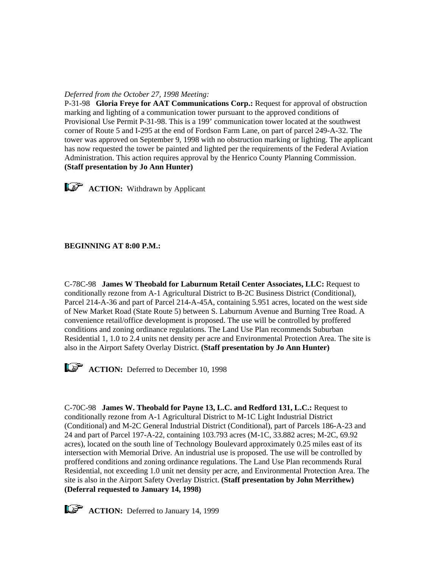# *Deferred from the October 27, 1998 Meeting:*

P-31-98 **Gloria Freye for AAT Communications Corp.:** Request for approval of obstruction marking and lighting of a communication tower pursuant to the approved conditions of Provisional Use Permit P-31-98. This is a 199' communication tower located at the southwest corner of Route 5 and I-295 at the end of Fordson Farm Lane, on part of parcel 249-A-32. The tower was approved on September 9, 1998 with no obstruction marking or lighting. The applicant has now requested the tower be painted and lighted per the requirements of the Federal Aviation Administration. This action requires approval by the Henrico County Planning Commission. **(Staff presentation by Jo Ann Hunter)**

**ACTION:** Withdrawn by Applicant

# **BEGINNING AT 8:00 P.M.:**

C-78C-98 **James W Theobald for Laburnum Retail Center Associates, LLC:** Request to conditionally rezone from A-1 Agricultural District to B-2C Business District (Conditional), Parcel 214-A-36 and part of Parcel 214-A-45A, containing 5.951 acres, located on the west side of New Market Road (State Route 5) between S. Laburnum Avenue and Burning Tree Road. A convenience retail/office development is proposed. The use will be controlled by proffered conditions and zoning ordinance regulations. The Land Use Plan recommends Suburban Residential 1, 1.0 to 2.4 units net density per acre and Environmental Protection Area. The site is also in the Airport Safety Overlay District. **(Staff presentation by Jo Ann Hunter)**



**ACTION:** Deferred to December 10, 1998

C-70C-98 **James W. Theobald for Payne 13, L.C. and Redford 131, L.C.:** Request to conditionally rezone from A-1 Agricultural District to M-1C Light Industrial District (Conditional) and M-2C General Industrial District (Conditional), part of Parcels 186-A-23 and 24 and part of Parcel 197-A-22, containing 103.793 acres (M-1C, 33.882 acres; M-2C, 69.92 acres), located on the south line of Technology Boulevard approximately 0.25 miles east of its intersection with Memorial Drive. An industrial use is proposed. The use will be controlled by proffered conditions and zoning ordinance regulations. The Land Use Plan recommends Rural Residential, not exceeding 1.0 unit net density per acre, and Environmental Protection Area. The site is also in the Airport Safety Overlay District. **(Staff presentation by John Merrithew) (Deferral requested to January 14, 1998)**

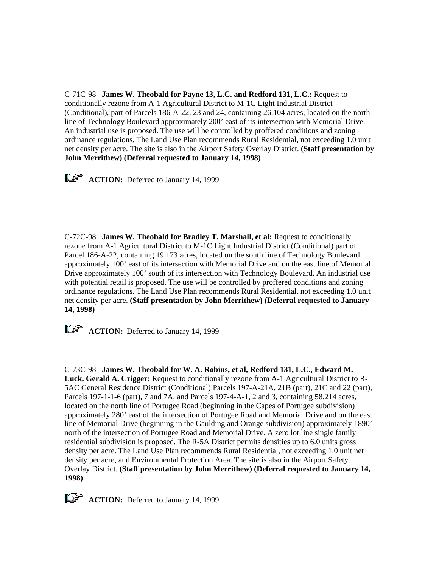C-71C-98 **James W. Theobald for Payne 13, L.C. and Redford 131, L.C.:** Request to conditionally rezone from A-1 Agricultural District to M-1C Light Industrial District (Conditional), part of Parcels 186-A-22, 23 and 24, containing 26.104 acres, located on the north line of Technology Boulevard approximately 200' east of its intersection with Memorial Drive. An industrial use is proposed. The use will be controlled by proffered conditions and zoning ordinance regulations. The Land Use Plan recommends Rural Residential, not exceeding 1.0 unit net density per acre. The site is also in the Airport Safety Overlay District. **(Staff presentation by John Merrithew) (Deferral requested to January 14, 1998)**

**ACTION:** Deferred to January 14, 1999

C-72C-98 **James W. Theobald for Bradley T. Marshall, et al:** Request to conditionally rezone from A-1 Agricultural District to M-1C Light Industrial District (Conditional) part of Parcel 186-A-22, containing 19.173 acres, located on the south line of Technology Boulevard approximately 100' east of its intersection with Memorial Drive and on the east line of Memorial Drive approximately 100' south of its intersection with Technology Boulevard. An industrial use with potential retail is proposed. The use will be controlled by proffered conditions and zoning ordinance regulations. The Land Use Plan recommends Rural Residential, not exceeding 1.0 unit net density per acre. **(Staff presentation by John Merrithew) (Deferral requested to January 14, 1998)**

**ACTION:** Deferred to January 14, 1999

C-73C-98 **James W. Theobald for W. A. Robins, et al, Redford 131, L.C., Edward M. Luck, Gerald A. Crigger:** Request to conditionally rezone from A-1 Agricultural District to R-5AC General Residence District (Conditional) Parcels 197-A-21A, 21B (part), 21C and 22 (part), Parcels 197-1-1-6 (part), 7 and 7A, and Parcels 197-4-A-1, 2 and 3, containing 58.214 acres, located on the north line of Portugee Road (beginning in the Capes of Portugee subdivision) approximately 280' east of the intersection of Portugee Road and Memorial Drive and on the east line of Memorial Drive (beginning in the Gaulding and Orange subdivision) approximately 1890' north of the intersection of Portugee Road and Memorial Drive. A zero lot line single family residential subdivision is proposed. The R-5A District permits densities up to 6.0 units gross density per acre. The Land Use Plan recommends Rural Residential, not exceeding 1.0 unit net density per acre, and Environmental Protection Area. The site is also in the Airport Safety Overlay District. **(Staff presentation by John Merrithew) (Deferral requested to January 14, 1998)**

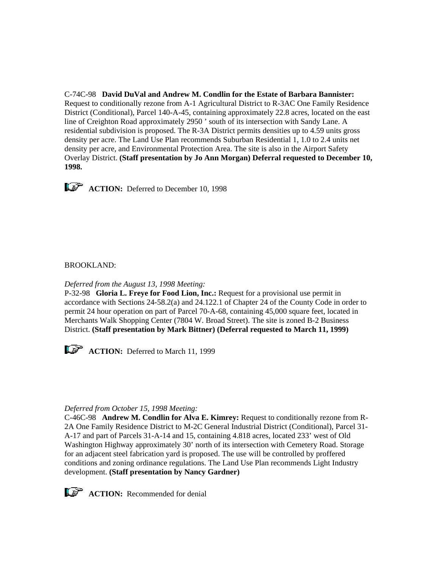C-74C-98 **David DuVal and Andrew M. Condlin for the Estate of Barbara Bannister:**  Request to conditionally rezone from A-1 Agricultural District to R-3AC One Family Residence District (Conditional), Parcel 140-A-45, containing approximately 22.8 acres, located on the east line of Creighton Road approximately 2950 ' south of its intersection with Sandy Lane. A residential subdivision is proposed. The R-3A District permits densities up to 4.59 units gross density per acre. The Land Use Plan recommends Suburban Residential 1, 1.0 to 2.4 units net density per acre, and Environmental Protection Area. The site is also in the Airport Safety Overlay District. **(Staff presentation by Jo Ann Morgan) Deferral requested to December 10, 1998.**



**ACTION:** Deferred to December 10, 1998

## BROOKLAND:

*Deferred from the August 13, 1998 Meeting:*

P-32-98 **Gloria L. Freye for Food Lion, Inc.:** Request for a provisional use permit in accordance with Sections 24-58.2(a) and 24.122.1 of Chapter 24 of the County Code in order to permit 24 hour operation on part of Parcel 70-A-68, containing 45,000 square feet, located in Merchants Walk Shopping Center (7804 W. Broad Street). The site is zoned B-2 Business District. **(Staff presentation by Mark Bittner) (Deferral requested to March 11, 1999)**



#### *Deferred from October 15, 1998 Meeting:*

C-46C-98 **Andrew M. Condlin for Alva E. Kimrey:** Request to conditionally rezone from R-2A One Family Residence District to M-2C General Industrial District (Conditional), Parcel 31- A-17 and part of Parcels 31-A-14 and 15, containing 4.818 acres, located 233' west of Old Washington Highway approximately 30' north of its intersection with Cemetery Road. Storage for an adjacent steel fabrication yard is proposed. The use will be controlled by proffered conditions and zoning ordinance regulations. The Land Use Plan recommends Light Industry development. **(Staff presentation by Nancy Gardner)**



**ACTION:** Recommended for denial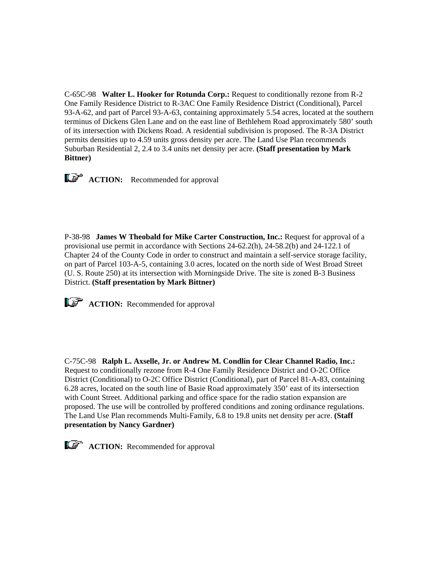C-65C-98 **Walter L. Hooker for Rotunda Corp.:** Request to conditionally rezone from R-2 One Family Residence District to R-3AC One Family Residence District (Conditional), Parcel 93-A-62, and part of Parcel 93-A-63, containing approximately 5.54 acres, located at the southern terminus of Dickens Glen Lane and on the east line of Bethlehem Road approximately 580' south of its intersection with Dickens Road. A residential subdivision is proposed. The R-3A District permits densities up to 4.59 units gross density per acre. The Land Use Plan recommends Suburban Residential 2, 2.4 to 3.4 units net density per acre. **(Staff presentation by Mark Bittner)**

**ACTION:** Recommended for approval

P-38-98 **James W Theobald for Mike Carter Construction, Inc.:** Request for approval of a provisional use permit in accordance with Sections 24-62.2(h), 24-58.2(b) and 24-122.1 of Chapter 24 of the County Code in order to construct and maintain a self-service storage facility, on part of Parcel 103-A-5, containing 3.0 acres, located on the north side of West Broad Street (U. S. Route 250) at its intersection with Morningside Drive. The site is zoned B-3 Business District. **(Staff presentation by Mark Bittner)**

**ACTION:** Recommended for approval

C-75C-98 **Ralph L. Axselle, Jr. or Andrew M. Condlin for Clear Channel Radio, Inc.:** Request to conditionally rezone from R-4 One Family Residence District and O-2C Office District (Conditional) to O-2C Office District (Conditional), part of Parcel 81-A-83, containing 6.28 acres, located on the south line of Basie Road approximately 350' east of its intersection with Count Street. Additional parking and office space for the radio station expansion are proposed. The use will be controlled by proffered conditions and zoning ordinance regulations. The Land Use Plan recommends Multi-Family, 6.8 to 19.8 units net density per acre. **(Staff presentation by Nancy Gardner)**